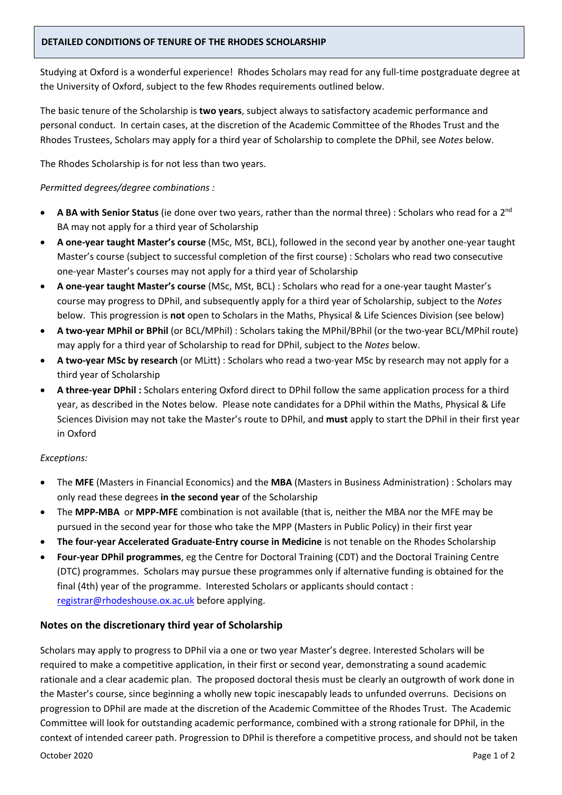## **DETAILED CONDITIONS OF TENURE OF THE RHODES SCHOLARSHIP**

Studying at Oxford is a wonderful experience! Rhodes Scholars may read for any full-time postgraduate degree at the University of Oxford, subject to the few Rhodes requirements outlined below.

The basic tenure of the Scholarship is **two years**, subject always to satisfactory academic performance and personal conduct. In certain cases, at the discretion of the Academic Committee of the Rhodes Trust and the Rhodes Trustees, Scholars may apply for a third year of Scholarship to complete the DPhil, see *Notes* below.

The Rhodes Scholarship is for not less than two years.

## *Permitted degrees/degree combinations :*

- **A BA with Senior Status** (ie done over two years, rather than the normal three) : Scholars who read for a 2nd BA may not apply for a third year of Scholarship
- **A one-year taught Master's course** (MSc, MSt, BCL), followed in the second year by another one-year taught Master's course (subject to successful completion of the first course) : Scholars who read two consecutive one-year Master's courses may not apply for a third year of Scholarship
- **A one-year taught Master's course** (MSc, MSt, BCL) : Scholars who read for a one-year taught Master's course may progress to DPhil, and subsequently apply for a third year of Scholarship, subject to the *Notes* below. This progression is **not** open to Scholars in the Maths, Physical & Life Sciences Division (see below)
- **A two-year MPhil or BPhil** (or BCL/MPhil) : Scholars taking the MPhil/BPhil (or the two-year BCL/MPhil route) may apply for a third year of Scholarship to read for DPhil, subject to the *Notes* below.
- **A two-year MSc by research** (or MLitt) : Scholars who read a two-year MSc by research may not apply for a third year of Scholarship
- **A three-year DPhil :** Scholars entering Oxford direct to DPhil follow the same application process for a third year, as described in the Notes below. Please note candidates for a DPhil within the Maths, Physical & Life Sciences Division may not take the Master's route to DPhil, and **must** apply to start the DPhil in their first year in Oxford

## *Exceptions:*

- The **MFE** (Masters in Financial Economics) and the **MBA** (Masters in Business Administration) : Scholars may only read these degrees **in the second year** of the Scholarship
- The **MPP-MBA** or **MPP-MFE** combination is not available (that is, neither the MBA nor the MFE may be pursued in the second year for those who take the MPP (Masters in Public Policy) in their first year
- **The four-year Accelerated Graduate-Entry course in Medicine** is not tenable on the Rhodes Scholarship
- **Four-year DPhil programmes**, eg the Centre for Doctoral Training (CDT) and the Doctoral Training Centre (DTC) programmes. Scholars may pursue these programmes only if alternative funding is obtained for the final (4th) year of the programme. Interested Scholars or applicants should contact : [registrar@rhodeshouse.ox.ac.uk](mailto:registrar@rhodeshouse.ox.ac.uk) before applying.

## **Notes on the discretionary third year of Scholarship**

Scholars may apply to progress to DPhil via a one or two year Master's degree. Interested Scholars will be required to make a competitive application, in their first or second year, demonstrating a sound academic rationale and a clear academic plan. The proposed doctoral thesis must be clearly an outgrowth of work done in the Master's course, since beginning a wholly new topic inescapably leads to unfunded overruns. Decisions on progression to DPhil are made at the discretion of the Academic Committee of the Rhodes Trust. The Academic Committee will look for outstanding academic performance, combined with a strong rationale for DPhil, in the context of intended career path. Progression to DPhil is therefore a competitive process, and should not be taken